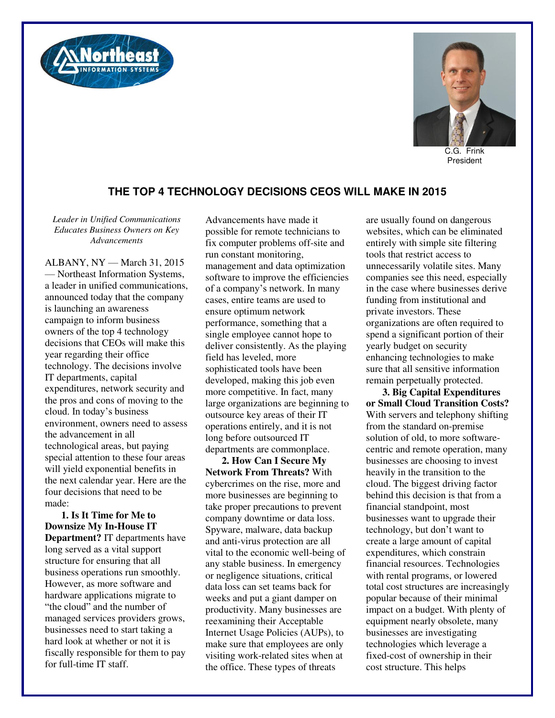



C.G. Frink President

## **THE TOP 4 TECHNOLOGY DECISIONS CEOS WILL MAKE IN 2015**

*Leader in Unified Communications Educates Business Owners on Key Advancements* 

ALBANY, NY — March 31, 2015 — Northeast Information Systems, a leader in unified communications, announced today that the company is launching an awareness campaign to inform business owners of the top 4 technology decisions that CEOs will make this year regarding their office technology. The decisions involve IT departments, capital expenditures, network security and the pros and cons of moving to the cloud. In today's business environment, owners need to assess the advancement in all technological areas, but paying special attention to these four areas will yield exponential benefits in the next calendar year. Here are the four decisions that need to be made:

**1. Is It Time for Me to Downsize My In-House IT Department?** IT departments have long served as a vital support structure for ensuring that all business operations run smoothly. However, as more software and hardware applications migrate to "the cloud" and the number of managed services providers grows, businesses need to start taking a hard look at whether or not it is fiscally responsible for them to pay for full-time IT staff.

Advancements have made it possible for remote technicians to fix computer problems off-site and run constant monitoring, management and data optimization software to improve the efficiencies of a company's network. In many cases, entire teams are used to ensure optimum network performance, something that a single employee cannot hope to deliver consistently. As the playing field has leveled, more sophisticated tools have been developed, making this job even more competitive. In fact, many large organizations are beginning to outsource key areas of their IT operations entirely, and it is not long before outsourced IT departments are commonplace.

**2. How Can I Secure My Network From Threats?** With cybercrimes on the rise, more and more businesses are beginning to take proper precautions to prevent company downtime or data loss. Spyware, malware, data backup and anti-virus protection are all vital to the economic well-being of any stable business. In emergency or negligence situations, critical data loss can set teams back for weeks and put a giant damper on productivity. Many businesses are reexamining their Acceptable Internet Usage Policies (AUPs), to make sure that employees are only visiting work-related sites when at the office. These types of threats

are usually found on dangerous websites, which can be eliminated entirely with simple site filtering tools that restrict access to unnecessarily volatile sites. Many companies see this need, especially in the case where businesses derive funding from institutional and private investors. These organizations are often required to spend a significant portion of their yearly budget on security enhancing technologies to make sure that all sensitive information remain perpetually protected.

**3. Big Capital Expenditures or Small Cloud Transition Costs?** With servers and telephony shifting from the standard on-premise solution of old, to more softwarecentric and remote operation, many businesses are choosing to invest heavily in the transition to the cloud. The biggest driving factor behind this decision is that from a financial standpoint, most businesses want to upgrade their technology, but don't want to create a large amount of capital expenditures, which constrain financial resources. Technologies with rental programs, or lowered total cost structures are increasingly popular because of their minimal impact on a budget. With plenty of equipment nearly obsolete, many businesses are investigating technologies which leverage a fixed-cost of ownership in their cost structure. This helps